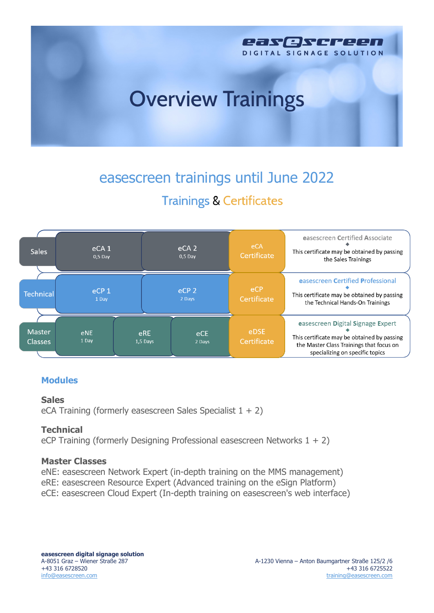

# easescreen trainings until June 2022 **Trainings & Certificates**



## **Modules**

#### **Sales**

eCA Training (formerly easescreen Sales Specialist  $1 + 2$ )

## **Technical**

eCP Training (formerly Designing Professional easescreen Networks 1 + 2)

#### **Master Classes**

eNE: easescreen Network Expert (in-depth training on the MMS management) eRE: easescreen Resource Expert (Advanced training on the eSign Platform) eCE: easescreen Cloud Expert (In-depth training on easescreen's web interface)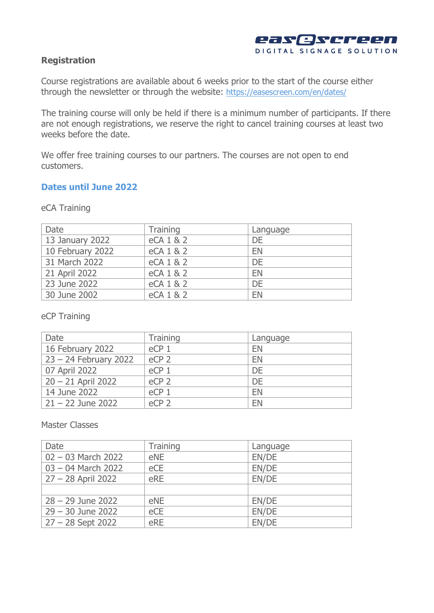

#### **Registration**

Course registrations are available about 6 weeks prior to the start of the course either through the newsletter or through the website: https://easescreen.com/en/dates/

The training course will only be held if there is a minimum number of participants. If there are not enough registrations, we reserve the right to cancel training courses at least two weeks before the date.

We offer free training courses to our partners. The courses are not open to end customers.

#### **Dates until June 2022**

| Date             | <b>Training</b> | Language |
|------------------|-----------------|----------|
| 13 January 2022  | eCA 1 & 2       | DE       |
| 10 February 2022 | eCA 1 & 2       | EN       |
| 31 March 2022    | eCA 1 & 2       | DE       |
| 21 April 2022    | eCA 1 & 2       | EN       |
| 23 June 2022     | eCA 1 & 2       | DE       |
| 30 June 2002     | eCA 1 & 2       | EN       |

eCA Training

#### eCP Training

| Date                    | <b>Training</b>  | Language |
|-------------------------|------------------|----------|
| 16 February 2022        | eCP <sub>1</sub> | EN       |
| $23 - 24$ February 2022 | eCP <sub>2</sub> | EN       |
| 07 April 2022           | eCP <sub>1</sub> | DE       |
| $20 - 21$ April 2022    | eCP <sub>2</sub> | DE       |
| 14 June 2022            | eCP <sub>1</sub> | EN       |
| $21 - 22$ June 2022     | eCP <sub>2</sub> | EN       |

Master Classes

| Date                 | <b>Training</b> | Language |
|----------------------|-----------------|----------|
| $02 - 03$ March 2022 | eNE             | EN/DE    |
| $03 - 04$ March 2022 | eCE             | EN/DE    |
| $27 - 28$ April 2022 | eRE             | EN/DE    |
|                      |                 |          |
| $28 - 29$ June 2022  | eNE             | EN/DE    |
| $29 - 30$ June 2022  | eCE             | EN/DE    |
| $27 - 28$ Sept 2022  | eRE             | EN/DE    |